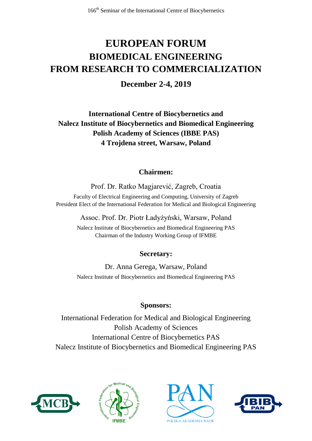# **EUROPEAN FORUM BIOMEDICAL ENGINEERING FROM RESEARCH TO COMMERCIALIZATION**

**December 2-4, 2019**

**International Centre of Biocybernetics and Nalecz Institute of Biocybernetics and Biomedical Engineering Polish Academy of Sciences (IBBE PAS) 4 Trojdena street, Warsaw, Poland**

#### **Chairmen:**

Prof. Dr. Ratko Magjarević, Zagreb, Croatia Faculty of Electrical Engineering and Computing, University of Zagreb President Elect of the International Federation for Medical and Biological Engineering

Assoc. Prof. Dr. Piotr Ładyżyński, Warsaw, Poland

Nalecz Institute of Biocybernetics and Biomedical Engineering PAS Chairman of the Industry Working Group of IFMBE

#### **Secretary:**

Dr. Anna Gerega, Warsaw, Poland Nalecz Institute of Biocybernetics and Biomedical Engineering PAS

#### **Sponsors:**

International Federation for Medical and Biological Engineering Polish Academy of Sciences International Centre of Biocybernetics PAS Nalecz Institute of Biocybernetics and Biomedical Engineering PAS







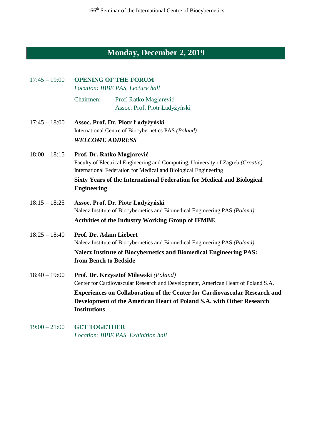## **Monday, December 2, 2019**

| $17:45 - 19:00$ | <b>OPENING OF THE FORUM</b><br>Location: IBBE PAS, Lecture hall                                                                                                                                                                                                                         |                                                                                                                                                                                                                                                                                  |  |
|-----------------|-----------------------------------------------------------------------------------------------------------------------------------------------------------------------------------------------------------------------------------------------------------------------------------------|----------------------------------------------------------------------------------------------------------------------------------------------------------------------------------------------------------------------------------------------------------------------------------|--|
|                 | Chairmen:                                                                                                                                                                                                                                                                               | Prof. Ratko Magjarević<br>Assoc. Prof. Piotr Ładyżyński                                                                                                                                                                                                                          |  |
| $17:45 - 18:00$ | Assoc. Prof. Dr. Piotr Ładyżyński<br>International Centre of Biocybernetics PAS (Poland)<br><b>WELCOME ADDRESS</b>                                                                                                                                                                      |                                                                                                                                                                                                                                                                                  |  |
| $18:00 - 18:15$ | Prof. Dr. Ratko Magjarević<br>Faculty of Electrical Engineering and Computing, University of Zagreb (Croatia)<br>International Federation for Medical and Biological Engineering<br><b>Sixty Years of the International Federation for Medical and Biological</b><br><b>Engineering</b> |                                                                                                                                                                                                                                                                                  |  |
| $18:15 - 18:25$ |                                                                                                                                                                                                                                                                                         | Assoc. Prof. Dr. Piotr Ładyżyński<br>Nalecz Institute of Biocybernetics and Biomedical Engineering PAS (Poland)<br><b>Activities of the Industry Working Group of IFMBE</b>                                                                                                      |  |
| $18:25 - 18:40$ | Prof. Dr. Adam Liebert<br>from Bench to Bedside                                                                                                                                                                                                                                         | Nalecz Institute of Biocybernetics and Biomedical Engineering PAS (Poland)<br><b>Nalecz Institute of Biocybernetics and Biomedical Engineering PAS:</b>                                                                                                                          |  |
| $18:40 - 19:00$ | <b>Institutions</b>                                                                                                                                                                                                                                                                     | Prof. Dr. Krzysztof Milewski (Poland)<br>Center for Cardiovascular Research and Development, American Heart of Poland S.A.<br>Experiences on Collaboration of the Center for Cardiovascular Research and<br>Development of the American Heart of Poland S.A. with Other Research |  |

19:00 – 21:00 **GET TOGETHER** *Location: IBBE PAS, Exhibition hall*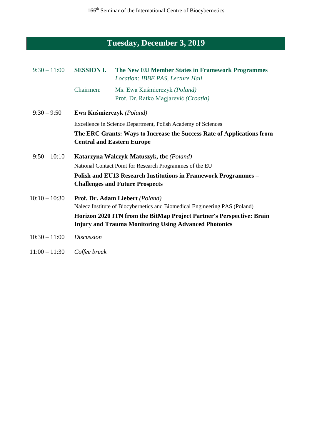### **Tuesday, December 3, 2019**

| $9:30 - 11:00$  | <b>SESSION I.</b>                                                                                           | The New EU Member States in Framework Programmes<br>Location: IBBE PAS, Lecture Hall                                                  |  |
|-----------------|-------------------------------------------------------------------------------------------------------------|---------------------------------------------------------------------------------------------------------------------------------------|--|
|                 | Chairmen:                                                                                                   | Ms. Ewa Kuśmierczyk (Poland)<br>Prof. Dr. Ratko Magjarević (Croatia)                                                                  |  |
| $9:30 - 9:50$   | Ewa Kuśmierczyk (Poland)                                                                                    |                                                                                                                                       |  |
|                 | Excellence in Science Department, Polish Academy of Sciences                                                |                                                                                                                                       |  |
|                 | The ERC Grants: Ways to Increase the Success Rate of Applications from<br><b>Central and Eastern Europe</b> |                                                                                                                                       |  |
| $9:50 - 10:10$  | Katarzyna Walczyk-Matuszyk, tbc (Poland)                                                                    |                                                                                                                                       |  |
|                 |                                                                                                             | National Contact Point for Research Programmes of the EU                                                                              |  |
|                 |                                                                                                             | Polish and EU13 Research Institutions in Framework Programmes –<br><b>Challenges and Future Prospects</b>                             |  |
| $10:10 - 10:30$ | Prof. Dr. Adam Liebert (Poland)                                                                             |                                                                                                                                       |  |
|                 |                                                                                                             | Nalecz Institute of Biocybernetics and Biomedical Engineering PAS (Poland)                                                            |  |
|                 |                                                                                                             | Horizon 2020 ITN from the BitMap Project Partner's Perspective: Brain<br><b>Injury and Trauma Monitoring Using Advanced Photonics</b> |  |
| $10:30 - 11:00$ | <b>Discussion</b>                                                                                           |                                                                                                                                       |  |

11:00 – 11:30 *Coffee break*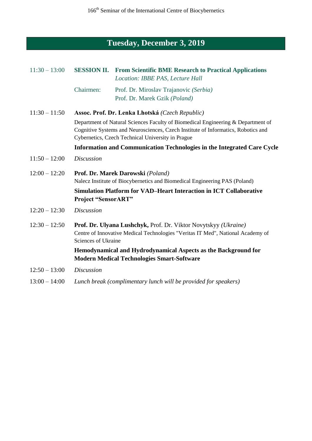## **Tuesday, December 3, 2019**

| $11:30 - 13:00$ | <b>SESSION II.</b>                                                                                                                                                                                                         | <b>From Scientific BME Research to Practical Applications</b><br>Location: IBBE PAS, Lecture Hall                   |  |
|-----------------|----------------------------------------------------------------------------------------------------------------------------------------------------------------------------------------------------------------------------|---------------------------------------------------------------------------------------------------------------------|--|
|                 | Chairmen:                                                                                                                                                                                                                  | Prof. Dr. Miroslav Trajanovic (Serbia)<br>Prof. Dr. Marek Gzik (Poland)                                             |  |
| $11:30 - 11:50$ |                                                                                                                                                                                                                            | Assoc. Prof. Dr. Lenka Lhotská (Czech Republic)                                                                     |  |
|                 | Department of Natural Sciences Faculty of Biomedical Engineering & Department of<br>Cognitive Systems and Neurosciences, Czech Institute of Informatics, Robotics and<br>Cybernetics, Czech Technical University in Prague |                                                                                                                     |  |
|                 | Information and Communication Technologies in the Integrated Care Cycle                                                                                                                                                    |                                                                                                                     |  |
| $11:50 - 12:00$ | <b>Discussion</b>                                                                                                                                                                                                          |                                                                                                                     |  |
| $12:00 - 12:20$ | Prof. Dr. Marek Darowski (Poland)<br>Nalecz Institute of Biocybernetics and Biomedical Engineering PAS (Poland)                                                                                                            |                                                                                                                     |  |
|                 | <b>Project "SensorART"</b>                                                                                                                                                                                                 | <b>Simulation Platform for VAD-Heart Interaction in ICT Collaborative</b>                                           |  |
| $12:20 - 12:30$ | <b>Discussion</b>                                                                                                                                                                                                          |                                                                                                                     |  |
| $12:30 - 12:50$ | Prof. Dr. Ulyana Lushchyk, Prof. Dr. Viktor Novytskyy (Ukraine)<br>Centre of Innovative Medical Technologies "Veritas IT Med", National Academy of<br>Sciences of Ukraine                                                  |                                                                                                                     |  |
|                 |                                                                                                                                                                                                                            | Hemodynamical and Hydrodynamical Aspects as the Background for<br><b>Modern Medical Technologies Smart-Software</b> |  |
| $12:50 - 13:00$ | <b>Discussion</b>                                                                                                                                                                                                          |                                                                                                                     |  |
| $13:00 - 14:00$ |                                                                                                                                                                                                                            | Lunch break (complimentary lunch will be provided for speakers)                                                     |  |
|                 |                                                                                                                                                                                                                            |                                                                                                                     |  |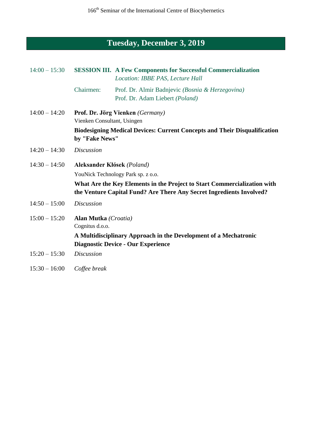### **Tuesday, December 3, 2019**

| $14:00 - 15:30$ |                                                                                                                                                  | <b>SESSION III.</b> A Few Components for Successful Commercialization<br>Location: IBBE PAS, Lecture Hall |  |
|-----------------|--------------------------------------------------------------------------------------------------------------------------------------------------|-----------------------------------------------------------------------------------------------------------|--|
|                 | Chairmen:                                                                                                                                        | Prof. Dr. Almir Badnjevic (Bosnia & Herzegovina)<br>Prof. Dr. Adam Liebert (Poland)                       |  |
| $14:00 - 14:20$ | Prof. Dr. Jörg Vienken (Germany)<br>Vienken Consultant, Usingen                                                                                  |                                                                                                           |  |
|                 | <b>Biodesigning Medical Devices: Current Concepts and Their Disqualification</b><br>by "Fake News"                                               |                                                                                                           |  |
| $14:20 - 14:30$ | <b>Discussion</b>                                                                                                                                |                                                                                                           |  |
| $14:30 - 14:50$ | Aleksander Kłósek (Poland)                                                                                                                       |                                                                                                           |  |
|                 | YouNick Technology Park sp. z o.o.                                                                                                               |                                                                                                           |  |
|                 | What Are the Key Elements in the Project to Start Commercialization with<br>the Venture Capital Fund? Are There Any Secret Ingredients Involved? |                                                                                                           |  |
| $14:50 - 15:00$ | <b>Discussion</b>                                                                                                                                |                                                                                                           |  |
| $15:00 - 15:20$ | Alan Mutka (Croatia)<br>Cognitus d.o.o.                                                                                                          |                                                                                                           |  |
|                 |                                                                                                                                                  | A Multidisciplinary Approach in the Development of a Mechatronic                                          |  |
|                 |                                                                                                                                                  | <b>Diagnostic Device - Our Experience</b>                                                                 |  |
| $15:20 - 15:30$ | <b>Discussion</b>                                                                                                                                |                                                                                                           |  |

15:30 – 16:00 *Coffee break*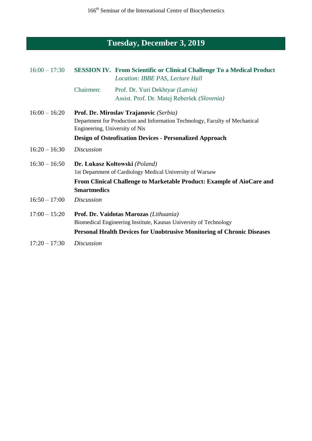## **Tuesday, December 3, 2019**

| $16:00 - 17:30$ |                                                                                                               | <b>SESSION IV.</b> From Scientific or Clinical Challenge To a Medical Product<br>Location: IBBE PAS, Lecture Hall |  |
|-----------------|---------------------------------------------------------------------------------------------------------------|-------------------------------------------------------------------------------------------------------------------|--|
|                 | Chairmen:                                                                                                     | Prof. Dr. Yuri Dekhtyar (Latvia)<br>Assist. Prof. Dr. Matej Reberšek (Slovenia)                                   |  |
| $16:00 - 16:20$ |                                                                                                               | Prof. Dr. Miroslav Trajanovic (Serbia)                                                                            |  |
|                 | Department for Production and Information Technology, Faculty of Mechanical<br>Engineering, University of Nis |                                                                                                                   |  |
|                 | <b>Design of Osteofixation Devices - Personalized Approach</b>                                                |                                                                                                                   |  |
| $16:20 - 16:30$ | <b>Discussion</b>                                                                                             |                                                                                                                   |  |
| $16:30 - 16:50$ | Dr. Łukasz Kołtowski (Poland)                                                                                 |                                                                                                                   |  |
|                 | 1st Department of Cardiology Medical University of Warsaw                                                     |                                                                                                                   |  |
|                 | <b>Smartmedics</b>                                                                                            | From Clinical Challenge to Marketable Product: Example of AioCare and                                             |  |
| $16:50 - 17:00$ | <b>Discussion</b>                                                                                             |                                                                                                                   |  |
| $17:00 - 15:20$ | Prof. Dr. Vaidotas Marozas (Lithuania)                                                                        |                                                                                                                   |  |
|                 | Biomedical Engineering Institute, Kaunas University of Technology                                             |                                                                                                                   |  |
|                 |                                                                                                               | <b>Personal Health Devices for Unobtrusive Monitoring of Chronic Diseases</b>                                     |  |
| $17:20 - 17:30$ | <i>Discussion</i>                                                                                             |                                                                                                                   |  |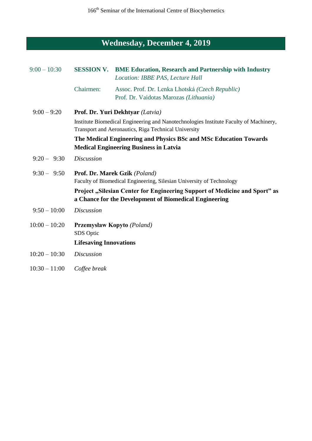# **Wednesday, December 4, 2019**

| $9:00 - 10:30$  |                                                                                                                                               | <b>SESSION V. BME Education, Research and Partnership with Industry</b><br>Location: IBBE PAS, Lecture Hall |  |
|-----------------|-----------------------------------------------------------------------------------------------------------------------------------------------|-------------------------------------------------------------------------------------------------------------|--|
|                 | Chairmen:                                                                                                                                     | Assoc. Prof. Dr. Lenka Lhotská (Czech Republic)<br>Prof. Dr. Vaidotas Marozas (Lithuania)                   |  |
| $9:00 - 9:20$   | Prof. Dr. Yuri Dekhtyar (Latvia)                                                                                                              |                                                                                                             |  |
|                 | Institute Biomedical Engineering and Nanotechnologies Institute Faculty of Machinery,<br>Transport and Aeronautics, Riga Technical University |                                                                                                             |  |
|                 | The Medical Engineering and Physics BSc and MSc Education Towards<br><b>Medical Engineering Business in Latvia</b>                            |                                                                                                             |  |
| $9:20 - 9:30$   | <b>Discussion</b>                                                                                                                             |                                                                                                             |  |
| $9:30 - 9:50$   | <b>Prof. Dr. Marek Gzik</b> (Poland)<br>Faculty of Biomedical Engineering, Silesian University of Technology                                  |                                                                                                             |  |
|                 | Project "Silesian Center for Engineering Support of Medicine and Sport" as<br>a Chance for the Development of Biomedical Engineering          |                                                                                                             |  |
| $9:50 - 10:00$  | <b>Discussion</b>                                                                                                                             |                                                                                                             |  |
| $10:00 - 10:20$ | SDS Optic                                                                                                                                     | <b>Przemysław Kopyto</b> (Poland)                                                                           |  |
|                 | <b>Lifesaving Innovations</b>                                                                                                                 |                                                                                                             |  |
| $10:20 - 10:30$ | <b>Discussion</b>                                                                                                                             |                                                                                                             |  |
| $10:30 - 11:00$ | Coffee break                                                                                                                                  |                                                                                                             |  |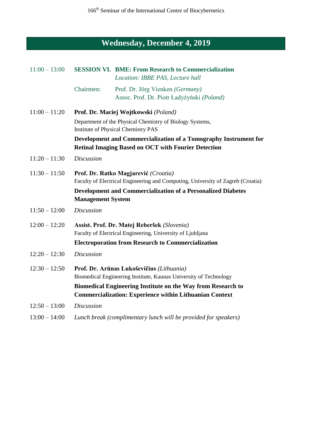## **Wednesday, December 4, 2019**

| $11:00 - 13:00$ |                                                                                                                         | <b>SESSION VI. BME: From Research to Commercialization</b><br>Location: IBBE PAS, Lecture hall                                 |
|-----------------|-------------------------------------------------------------------------------------------------------------------------|--------------------------------------------------------------------------------------------------------------------------------|
|                 | Chairmen:                                                                                                               | Prof. Dr. Jörg Vienken (Germany)<br>Assoc. Prof. Dr. Piotr Ładyżyński (Poland)                                                 |
| $11:00 - 11:20$ |                                                                                                                         | Prof. Dr. Maciej Wojtkowski (Poland)                                                                                           |
|                 |                                                                                                                         | Department of the Physical Chemistry of Biology Systems,<br><b>Institute of Physical Chemistry PAS</b>                         |
|                 |                                                                                                                         | Development and Commercialization of a Tomography Instrument for<br><b>Retinal Imaging Based on OCT with Fourier Detection</b> |
| $11:20 - 11:30$ | <b>Discussion</b>                                                                                                       |                                                                                                                                |
| $11:30 - 11:50$ | Prof. Dr. Ratko Magjarević (Croatia)<br>Faculty of Electrical Engineering and Computing, University of Zagreb (Croatia) |                                                                                                                                |
|                 | <b>Management System</b>                                                                                                | <b>Development and Commercialization of a Personalized Diabetes</b>                                                            |
| $11:50 - 12:00$ | <b>Discussion</b>                                                                                                       |                                                                                                                                |
| $12:00 - 12:20$ |                                                                                                                         | Assist. Prof. Dr. Matej Reberšek (Slovenia)<br>Faculty of Electrical Engineering, University of Ljubljana                      |
|                 |                                                                                                                         | <b>Electroporation from Research to Commercialization</b>                                                                      |
| $12:20 - 12:30$ | <b>Discussion</b>                                                                                                       |                                                                                                                                |
| $12:30 - 12:50$ |                                                                                                                         | Prof. Dr. Arūnas Lukoševičius (Lithuania)<br>Biomedical Engineering Institute, Kaunas University of Technology                 |
|                 |                                                                                                                         | Biomedical Engineering Institute on the Way from Research to<br><b>Commercialization: Experience within Lithuanian Context</b> |
| $12:50 - 13:00$ | <b>Discussion</b>                                                                                                       |                                                                                                                                |
| $13:00 - 14:00$ |                                                                                                                         | Lunch break (complimentary lunch will be provided for speakers)                                                                |